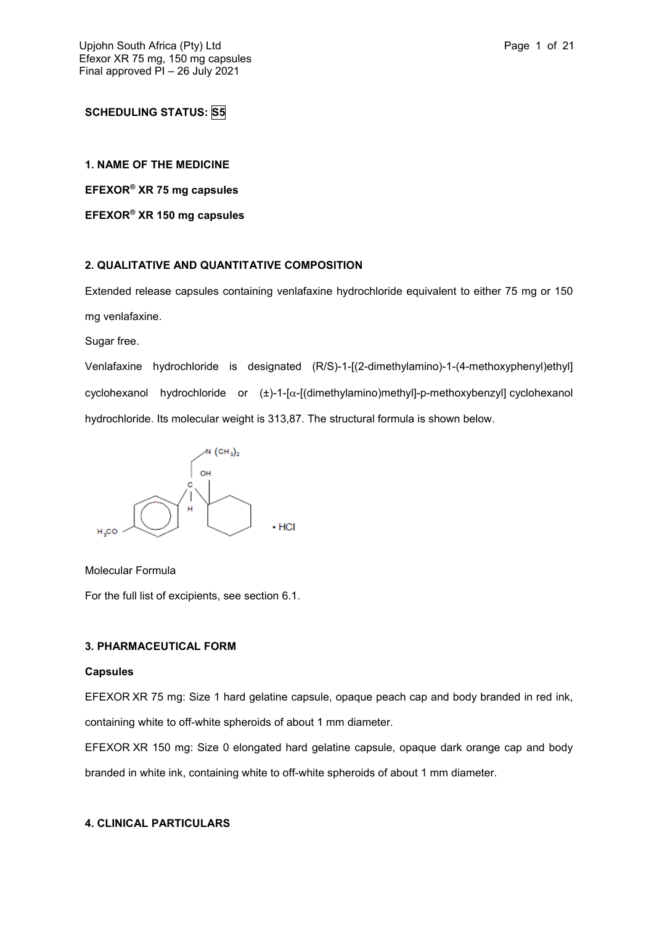## **SCHEDULING STATUS: S5**

## **1. NAME OF THE MEDICINE**

**EFEXOR® XR 75 mg capsules**

**EFEXOR® XR 150 mg capsules**

## **2. QUALITATIVE AND QUANTITATIVE COMPOSITION**

Extended release capsules containing venlafaxine hydrochloride equivalent to either 75 mg or 150 mg venlafaxine.

Sugar free.

Venlafaxine hydrochloride is designated (R/S)-1-[(2-dimethylamino)-1-(4-methoxyphenyl)ethyl] cyclohexanol hydrochloride or  $(\pm)$ -1-[ $\alpha$ -[(dimethylamino)methyl]-p-methoxybenzyl] cyclohexanol hydrochloride. Its molecular weight is 313,87. The structural formula is shown below.



Molecular Formula

For the full list of excipients, see section 6.1.

## **3. PHARMACEUTICAL FORM**

## **Capsules**

EFEXOR XR 75 mg: Size 1 hard gelatine capsule, opaque peach cap and body branded in red ink, containing white to off-white spheroids of about 1 mm diameter.

EFEXOR XR 150 mg: Size 0 elongated hard gelatine capsule, opaque dark orange cap and body branded in white ink, containing white to off-white spheroids of about 1 mm diameter.

## **4. CLINICAL PARTICULARS**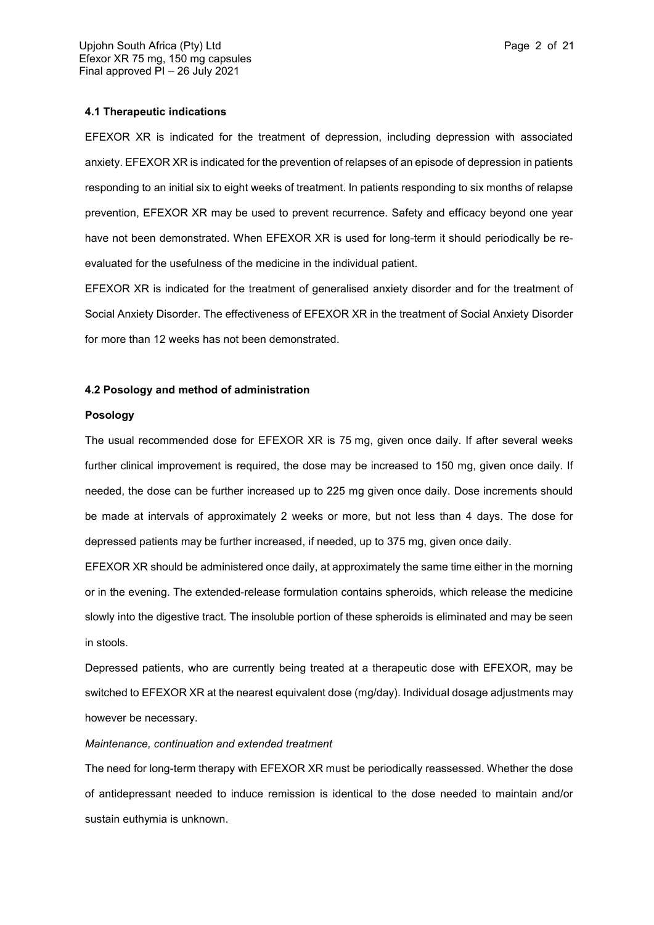## **4.1 Therapeutic indications**

EFEXOR XR is indicated for the treatment of depression, including depression with associated anxiety. EFEXOR XR is indicated for the prevention of relapses of an episode of depression in patients responding to an initial six to eight weeks of treatment. In patients responding to six months of relapse prevention, EFEXOR XR may be used to prevent recurrence. Safety and efficacy beyond one year have not been demonstrated. When EFEXOR XR is used for long-term it should periodically be reevaluated for the usefulness of the medicine in the individual patient.

EFEXOR XR is indicated for the treatment of generalised anxiety disorder and for the treatment of Social Anxiety Disorder. The effectiveness of EFEXOR XR in the treatment of Social Anxiety Disorder for more than 12 weeks has not been demonstrated.

## **4.2 Posology and method of administration**

#### **Posology**

The usual recommended dose for EFEXOR XR is 75 mg, given once daily. If after several weeks further clinical improvement is required, the dose may be increased to 150 mg, given once daily. If needed, the dose can be further increased up to 225 mg given once daily. Dose increments should be made at intervals of approximately 2 weeks or more, but not less than 4 days. The dose for depressed patients may be further increased, if needed, up to 375 mg, given once daily.

EFEXOR XR should be administered once daily, at approximately the same time either in the morning or in the evening. The extended-release formulation contains spheroids, which release the medicine slowly into the digestive tract. The insoluble portion of these spheroids is eliminated and may be seen in stools.

Depressed patients, who are currently being treated at a therapeutic dose with EFEXOR, may be switched to EFEXOR XR at the nearest equivalent dose (mg/day). Individual dosage adjustments may however be necessary.

## *Maintenance, continuation and extended treatment*

The need for long-term therapy with EFEXOR XR must be periodically reassessed. Whether the dose of antidepressant needed to induce remission is identical to the dose needed to maintain and/or sustain euthymia is unknown.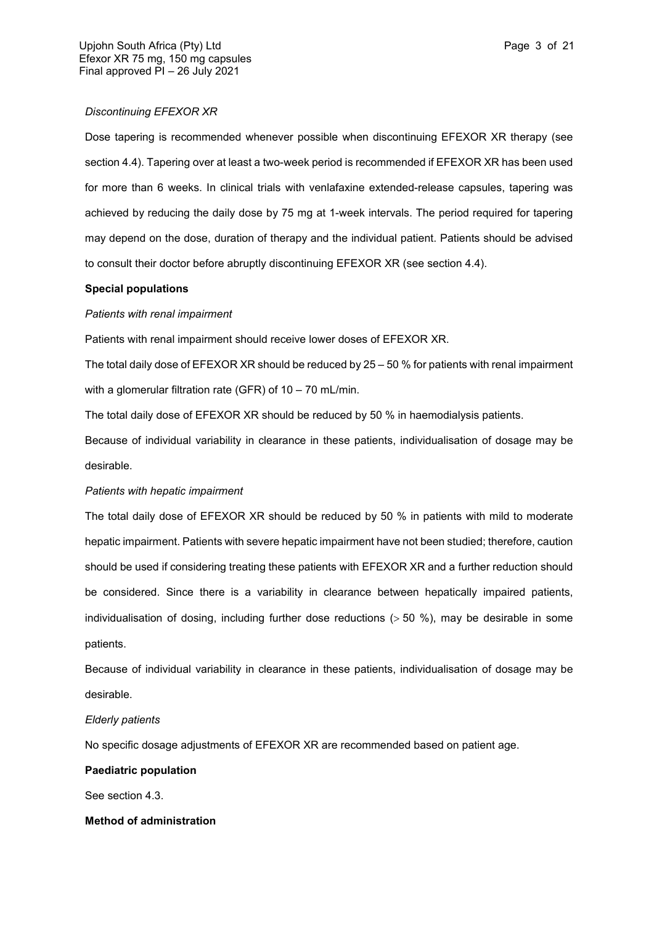Dose tapering is recommended whenever possible when discontinuing EFEXOR XR therapy (see section 4.4). Tapering over at least a two-week period is recommended if EFEXOR XR has been used for more than 6 weeks. In clinical trials with venlafaxine extended-release capsules, tapering was achieved by reducing the daily dose by 75 mg at 1-week intervals. The period required for tapering may depend on the dose, duration of therapy and the individual patient. Patients should be advised to consult their doctor before abruptly discontinuing EFEXOR XR (see section 4.4).

## **Special populations**

## *Patients with renal impairment*

Patients with renal impairment should receive lower doses of EFEXOR XR.

The total daily dose of EFEXOR XR should be reduced by 25 – 50 % for patients with renal impairment with a glomerular filtration rate (GFR) of 10 – 70 mL/min.

The total daily dose of EFEXOR XR should be reduced by 50 % in haemodialysis patients.

Because of individual variability in clearance in these patients, individualisation of dosage may be desirable.

## *Patients with hepatic impairment*

The total daily dose of EFEXOR XR should be reduced by 50 % in patients with mild to moderate hepatic impairment. Patients with severe hepatic impairment have not been studied; therefore, caution should be used if considering treating these patients with EFEXOR XR and a further reduction should be considered. Since there is a variability in clearance between hepatically impaired patients, individualisation of dosing, including further dose reductions  $($  > 50 %), may be desirable in some patients.

Because of individual variability in clearance in these patients, individualisation of dosage may be desirable.

## *Elderly patients*

No specific dosage adjustments of EFEXOR XR are recommended based on patient age.

## **Paediatric population**

See section 4.3.

## **Method of administration**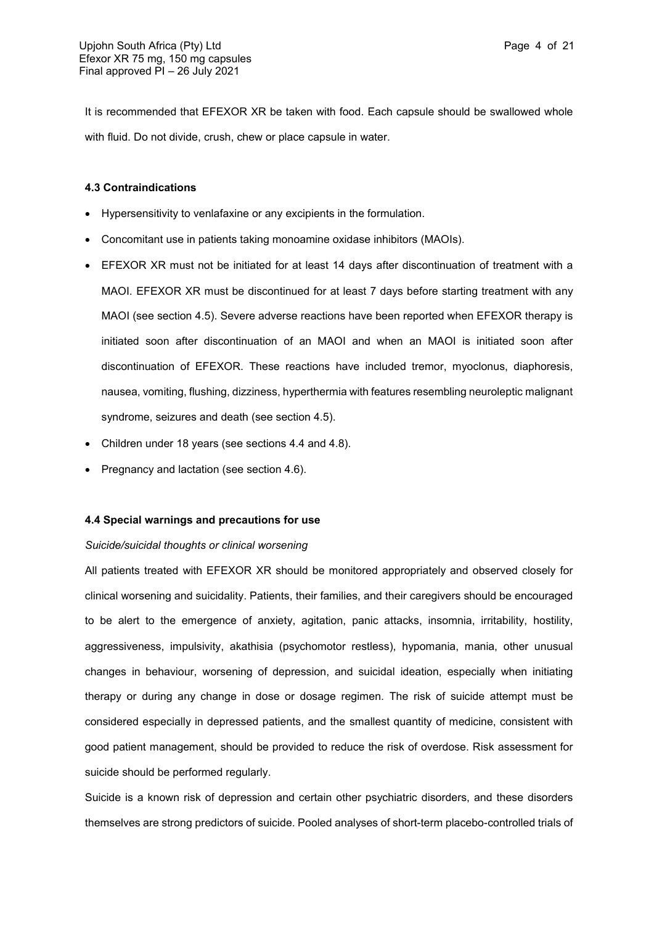It is recommended that EFEXOR XR be taken with food. Each capsule should be swallowed whole with fluid. Do not divide, crush, chew or place capsule in water.

## **4.3 Contraindications**

- Hypersensitivity to venlafaxine or any excipients in the formulation.
- Concomitant use in patients taking monoamine oxidase inhibitors (MAOIs).
- EFEXOR XR must not be initiated for at least 14 days after discontinuation of treatment with a MAOI. EFEXOR XR must be discontinued for at least 7 days before starting treatment with any MAOI (see section 4.5). Severe adverse reactions have been reported when EFEXOR therapy is initiated soon after discontinuation of an MAOI and when an MAOI is initiated soon after discontinuation of EFEXOR. These reactions have included tremor, myoclonus, diaphoresis, nausea, vomiting, flushing, dizziness, hyperthermia with features resembling neuroleptic malignant syndrome, seizures and death (see section 4.5).
- Children under 18 years (see sections 4.4 and 4.8).
- Pregnancy and lactation (see section 4.6).

#### **4.4 Special warnings and precautions for use**

#### *Suicide/suicidal thoughts or clinical worsening*

All patients treated with EFEXOR XR should be monitored appropriately and observed closely for clinical worsening and suicidality. Patients, their families, and their caregivers should be encouraged to be alert to the emergence of anxiety, agitation, panic attacks, insomnia, irritability, hostility, aggressiveness, impulsivity, akathisia (psychomotor restless), hypomania, mania, other unusual changes in behaviour, worsening of depression, and suicidal ideation, especially when initiating therapy or during any change in dose or dosage regimen. The risk of suicide attempt must be considered especially in depressed patients, and the smallest quantity of medicine, consistent with good patient management, should be provided to reduce the risk of overdose. Risk assessment for suicide should be performed regularly.

Suicide is a known risk of depression and certain other psychiatric disorders, and these disorders themselves are strong predictors of suicide. Pooled analyses of short-term placebo-controlled trials of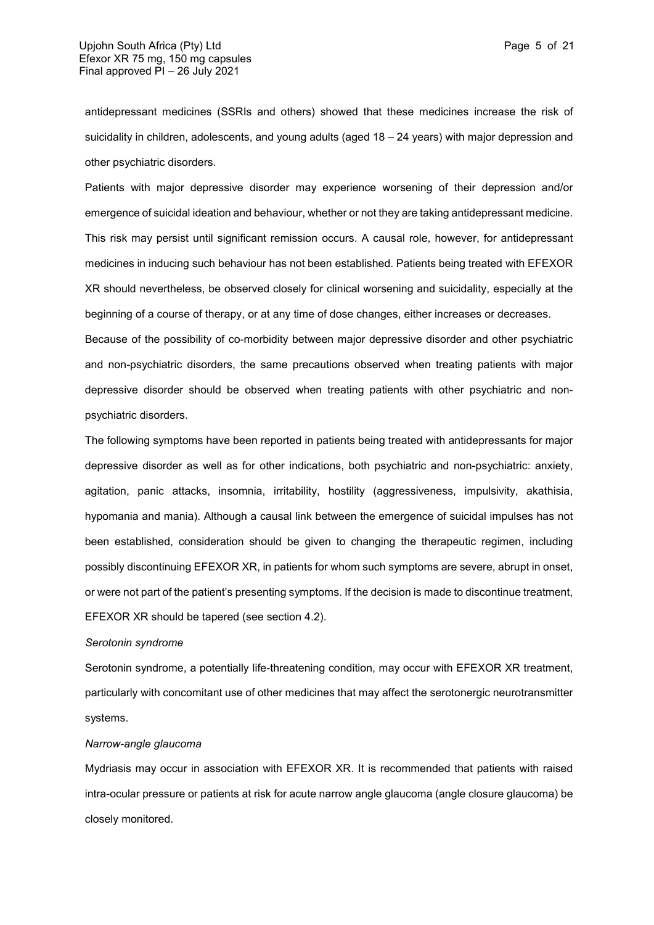antidepressant medicines (SSRIs and others) showed that these medicines increase the risk of suicidality in children, adolescents, and young adults (aged 18 – 24 years) with major depression and other psychiatric disorders.

Patients with major depressive disorder may experience worsening of their depression and/or emergence of suicidal ideation and behaviour, whether or not they are taking antidepressant medicine. This risk may persist until significant remission occurs. A causal role, however, for antidepressant medicines in inducing such behaviour has not been established. Patients being treated with EFEXOR XR should nevertheless, be observed closely for clinical worsening and suicidality, especially at the beginning of a course of therapy, or at any time of dose changes, either increases or decreases.

Because of the possibility of co-morbidity between major depressive disorder and other psychiatric and non-psychiatric disorders, the same precautions observed when treating patients with major depressive disorder should be observed when treating patients with other psychiatric and nonpsychiatric disorders.

The following symptoms have been reported in patients being treated with antidepressants for major depressive disorder as well as for other indications, both psychiatric and non-psychiatric: anxiety, agitation, panic attacks, insomnia, irritability, hostility (aggressiveness, impulsivity, akathisia, hypomania and mania). Although a causal link between the emergence of suicidal impulses has not been established, consideration should be given to changing the therapeutic regimen, including possibly discontinuing EFEXOR XR, in patients for whom such symptoms are severe, abrupt in onset, or were not part of the patient's presenting symptoms. If the decision is made to discontinue treatment, EFEXOR XR should be tapered (see section 4.2).

#### *Serotonin syndrome*

Serotonin syndrome, a potentially life-threatening condition, may occur with EFEXOR XR treatment, particularly with concomitant use of other medicines that may affect the serotonergic neurotransmitter systems.

#### *Narrow-angle glaucoma*

Mydriasis may occur in association with EFEXOR XR. It is recommended that patients with raised intra-ocular pressure or patients at risk for acute narrow angle glaucoma (angle closure glaucoma) be closely monitored.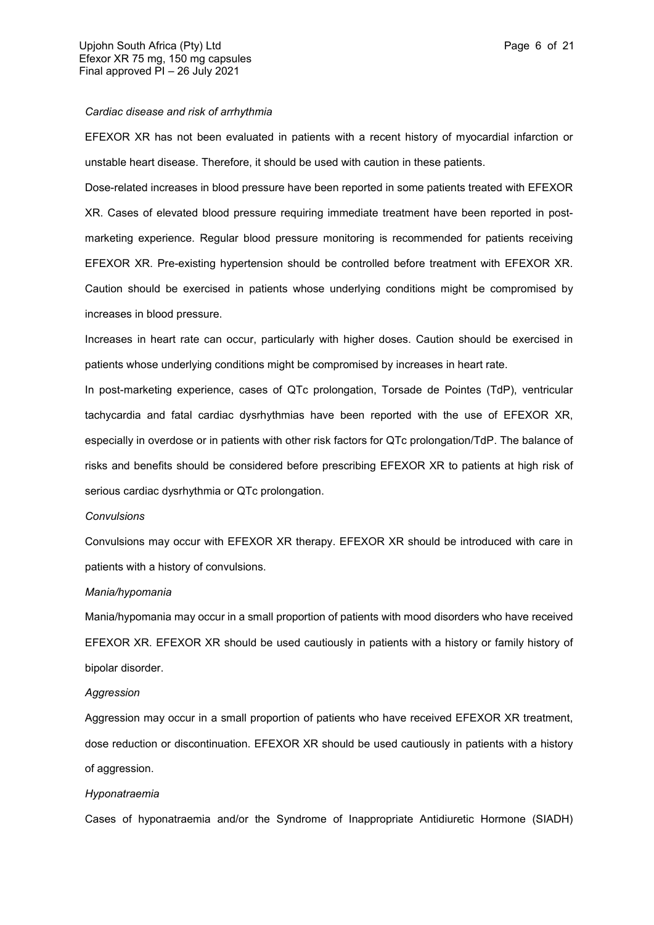#### *Cardiac disease and risk of arrhythmia*

EFEXOR XR has not been evaluated in patients with a recent history of myocardial infarction or unstable heart disease. Therefore, it should be used with caution in these patients.

Dose-related increases in blood pressure have been reported in some patients treated with EFEXOR XR. Cases of elevated blood pressure requiring immediate treatment have been reported in postmarketing experience. Regular blood pressure monitoring is recommended for patients receiving EFEXOR XR. Pre-existing hypertension should be controlled before treatment with EFEXOR XR. Caution should be exercised in patients whose underlying conditions might be compromised by increases in blood pressure.

Increases in heart rate can occur, particularly with higher doses. Caution should be exercised in patients whose underlying conditions might be compromised by increases in heart rate.

In post-marketing experience, cases of QTc prolongation, Torsade de Pointes (TdP), ventricular tachycardia and fatal cardiac dysrhythmias have been reported with the use of EFEXOR XR, especially in overdose or in patients with other risk factors for QTc prolongation/TdP. The balance of risks and benefits should be considered before prescribing EFEXOR XR to patients at high risk of serious cardiac dysrhythmia or QTc prolongation.

#### *Convulsions*

Convulsions may occur with EFEXOR XR therapy. EFEXOR XR should be introduced with care in patients with a history of convulsions.

#### *Mania/hypomania*

Mania/hypomania may occur in a small proportion of patients with mood disorders who have received EFEXOR XR. EFEXOR XR should be used cautiously in patients with a history or family history of bipolar disorder.

#### *Aggression*

Aggression may occur in a small proportion of patients who have received EFEXOR XR treatment, dose reduction or discontinuation. EFEXOR XR should be used cautiously in patients with a history of aggression.

#### *Hyponatraemia*

Cases of hyponatraemia and/or the Syndrome of Inappropriate Antidiuretic Hormone (SIADH)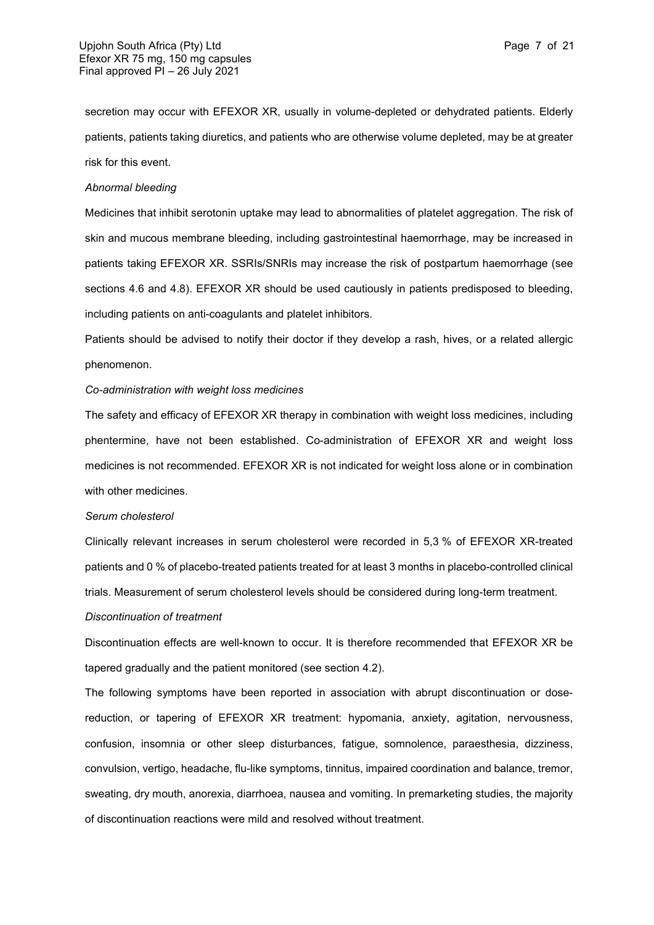secretion may occur with EFEXOR XR, usually in volume-depleted or dehydrated patients. Elderly patients, patients taking diuretics, and patients who are otherwise volume depleted, may be at greater risk for this event.

#### *Abnormal bleeding*

Medicines that inhibit serotonin uptake may lead to abnormalities of platelet aggregation. The risk of skin and mucous membrane bleeding, including gastrointestinal haemorrhage, may be increased in patients taking EFEXOR XR. SSRIs/SNRIs may increase the risk of postpartum haemorrhage (see sections 4.6 and 4.8). EFEXOR XR should be used cautiously in patients predisposed to bleeding, including patients on anti-coagulants and platelet inhibitors.

Patients should be advised to notify their doctor if they develop a rash, hives, or a related allergic phenomenon.

## *Co-administration with weight loss medicines*

The safety and efficacy of EFEXOR XR therapy in combination with weight loss medicines, including phentermine, have not been established. Co-administration of EFEXOR XR and weight loss medicines is not recommended. EFEXOR XR is not indicated for weight loss alone or in combination with other medicines.

#### *Serum cholesterol*

Clinically relevant increases in serum cholesterol were recorded in 5,3 % of EFEXOR XR-treated patients and 0 % of placebo-treated patients treated for at least 3 months in placebo-controlled clinical trials. Measurement of serum cholesterol levels should be considered during long-term treatment.

#### *Discontinuation of treatment*

Discontinuation effects are well-known to occur. It is therefore recommended that EFEXOR XR be tapered gradually and the patient monitored (see section 4.2).

The following symptoms have been reported in association with abrupt discontinuation or dosereduction, or tapering of EFEXOR XR treatment: hypomania, anxiety, agitation, nervousness, confusion, insomnia or other sleep disturbances, fatigue, somnolence, paraesthesia, dizziness, convulsion, vertigo, headache, flu-like symptoms, tinnitus, impaired coordination and balance, tremor, sweating, dry mouth, anorexia, diarrhoea, nausea and vomiting. In premarketing studies, the majority of discontinuation reactions were mild and resolved without treatment.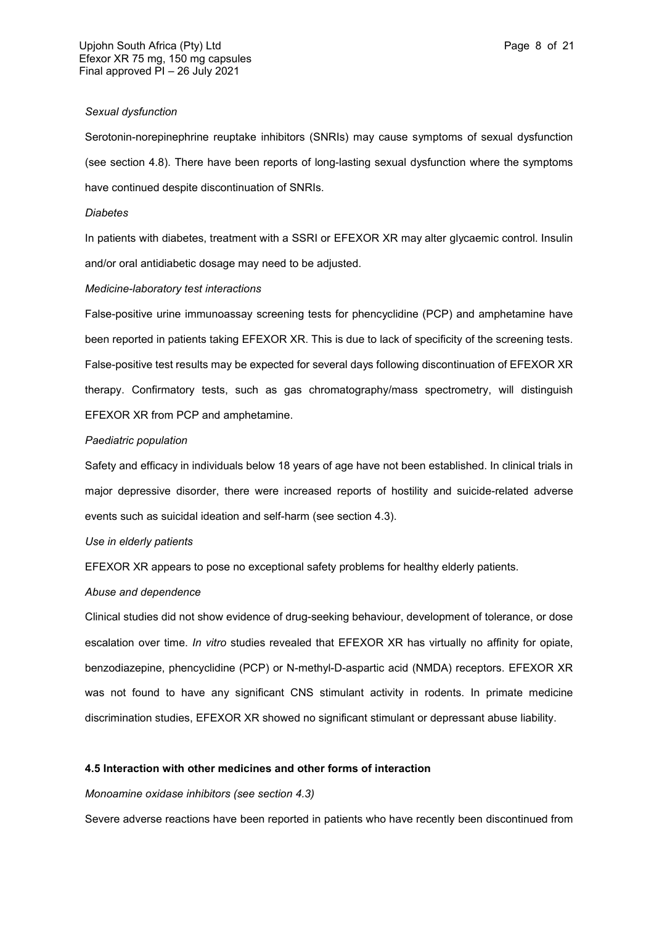#### *Sexual dysfunction*

Serotonin-norepinephrine reuptake inhibitors (SNRIs) may cause symptoms of sexual dysfunction (see section 4.8). There have been reports of long-lasting sexual dysfunction where the symptoms have continued despite discontinuation of SNRIs.

#### *Diabetes*

In patients with diabetes, treatment with a SSRI or EFEXOR XR may alter glycaemic control. Insulin and/or oral antidiabetic dosage may need to be adjusted.

## *Medicine-laboratory test interactions*

False-positive urine immunoassay screening tests for phencyclidine (PCP) and amphetamine have been reported in patients taking EFEXOR XR. This is due to lack of specificity of the screening tests. False-positive test results may be expected for several days following discontinuation of EFEXOR XR therapy. Confirmatory tests, such as gas chromatography/mass spectrometry, will distinguish EFEXOR XR from PCP and amphetamine.

## *Paediatric population*

Safety and efficacy in individuals below 18 years of age have not been established. In clinical trials in major depressive disorder, there were increased reports of hostility and suicide-related adverse events such as suicidal ideation and self-harm (see section 4.3).

## *Use in elderly patients*

EFEXOR XR appears to pose no exceptional safety problems for healthy elderly patients.

## *Abuse and dependence*

Clinical studies did not show evidence of drug-seeking behaviour, development of tolerance, or dose escalation over time. *In vitro* studies revealed that EFEXOR XR has virtually no affinity for opiate, benzodiazepine, phencyclidine (PCP) or N-methyl-D-aspartic acid (NMDA) receptors. EFEXOR XR was not found to have any significant CNS stimulant activity in rodents. In primate medicine discrimination studies, EFEXOR XR showed no significant stimulant or depressant abuse liability.

## **4.5 Interaction with other medicines and other forms of interaction**

### *Monoamine oxidase inhibitors (see section 4.3)*

Severe adverse reactions have been reported in patients who have recently been discontinued from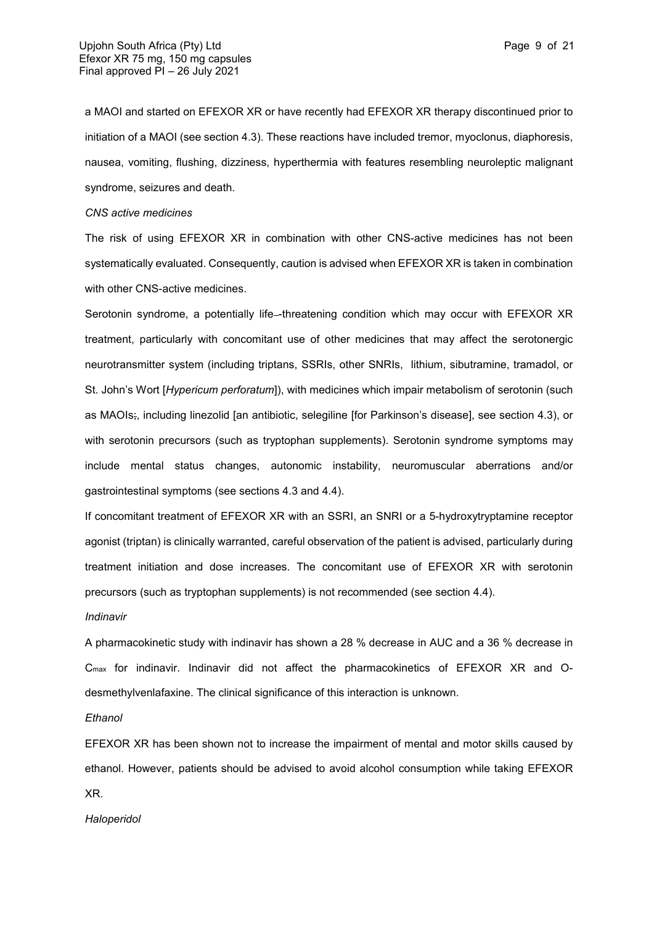a MAOI and started on EFEXOR XR or have recently had EFEXOR XR therapy discontinued prior to initiation of a MAOI (see section 4.3). These reactions have included tremor, myoclonus, diaphoresis, nausea, vomiting, flushing, dizziness, hyperthermia with features resembling neuroleptic malignant syndrome, seizures and death.

#### *CNS active medicines*

The risk of using EFEXOR XR in combination with other CNS-active medicines has not been systematically evaluated. Consequently, caution is advised when EFEXOR XR is taken in combination with other CNS-active medicines.

Serotonin syndrome, a potentially life--threatening condition which may occur with EFEXOR XR treatment, particularly with concomitant use of other medicines that may affect the serotonergic neurotransmitter system (including triptans, SSRIs, other SNRIs, lithium, sibutramine, tramadol, or St. John's Wort [*Hypericum perforatum*]), with medicines which impair metabolism of serotonin (such as MAOIs;, including linezolid [an antibiotic, selegiline [for Parkinson's disease], see section 4.3), or with serotonin precursors (such as tryptophan supplements). Serotonin syndrome symptoms may include mental status changes, autonomic instability, neuromuscular aberrations and/or gastrointestinal symptoms (see sections 4.3 and 4.4).

If concomitant treatment of EFEXOR XR with an SSRI, an SNRI or a 5-hydroxytryptamine receptor agonist (triptan) is clinically warranted, careful observation of the patient is advised, particularly during treatment initiation and dose increases. The concomitant use of EFEXOR XR with serotonin precursors (such as tryptophan supplements) is not recommended (see section 4.4).

#### *Indinavir*

A pharmacokinetic study with indinavir has shown a 28 % decrease in AUC and a 36 % decrease in Cmax for indinavir. Indinavir did not affect the pharmacokinetics of EFEXOR XR and Odesmethylvenlafaxine. The clinical significance of this interaction is unknown.

## *Ethanol*

EFEXOR XR has been shown not to increase the impairment of mental and motor skills caused by ethanol. However, patients should be advised to avoid alcohol consumption while taking EFEXOR XR.

*Haloperidol*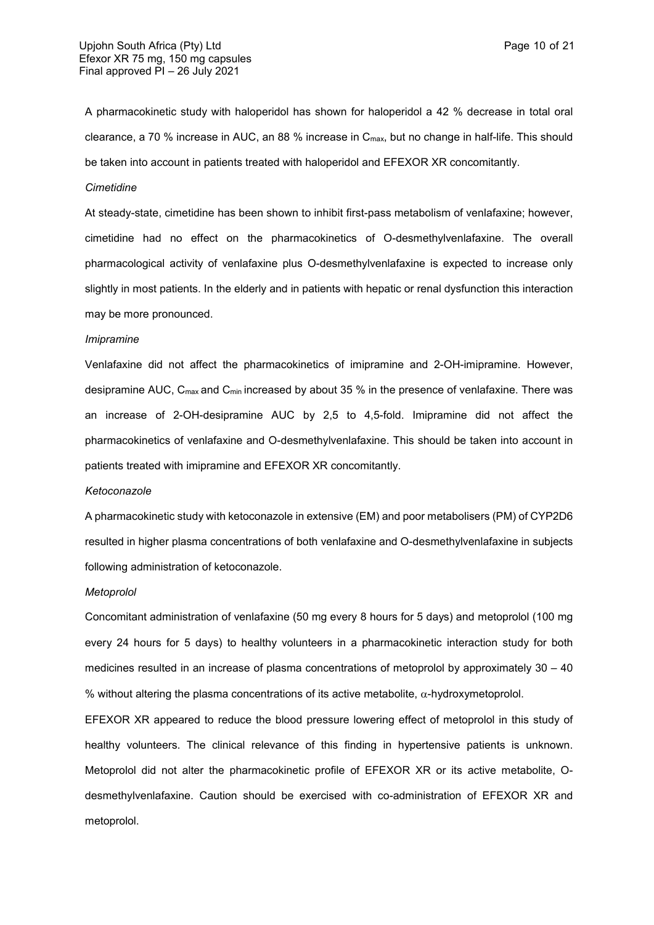A pharmacokinetic study with haloperidol has shown for haloperidol a 42 % decrease in total oral clearance, a 70 % increase in AUC, an 88 % increase in Cmax, but no change in half-life. This should be taken into account in patients treated with haloperidol and EFEXOR XR concomitantly.

## *Cimetidine*

At steady-state, cimetidine has been shown to inhibit first-pass metabolism of venlafaxine; however, cimetidine had no effect on the pharmacokinetics of O-desmethylvenlafaxine. The overall pharmacological activity of venlafaxine plus O-desmethylvenlafaxine is expected to increase only slightly in most patients. In the elderly and in patients with hepatic or renal dysfunction this interaction may be more pronounced.

#### *Imipramine*

Venlafaxine did not affect the pharmacokinetics of imipramine and 2-OH-imipramine. However, desipramine AUC, C<sub>max</sub> and C<sub>min</sub> increased by about 35 % in the presence of venlafaxine. There was an increase of 2-OH-desipramine AUC by 2,5 to 4,5-fold. Imipramine did not affect the pharmacokinetics of venlafaxine and O-desmethylvenlafaxine. This should be taken into account in patients treated with imipramine and EFEXOR XR concomitantly.

#### *Ketoconazole*

A pharmacokinetic study with ketoconazole in extensive (EM) and poor metabolisers (PM) of CYP2D6 resulted in higher plasma concentrations of both venlafaxine and O-desmethylvenlafaxine in subjects following administration of ketoconazole.

#### *Metoprolol*

Concomitant administration of venlafaxine (50 mg every 8 hours for 5 days) and metoprolol (100 mg every 24 hours for 5 days) to healthy volunteers in a pharmacokinetic interaction study for both medicines resulted in an increase of plasma concentrations of metoprolol by approximately 30 – 40 % without altering the plasma concentrations of its active metabolite,  $\alpha$ -hydroxymetoprolol.

EFEXOR XR appeared to reduce the blood pressure lowering effect of metoprolol in this study of healthy volunteers. The clinical relevance of this finding in hypertensive patients is unknown. Metoprolol did not alter the pharmacokinetic profile of EFEXOR XR or its active metabolite, Odesmethylvenlafaxine. Caution should be exercised with co-administration of EFEXOR XR and metoprolol.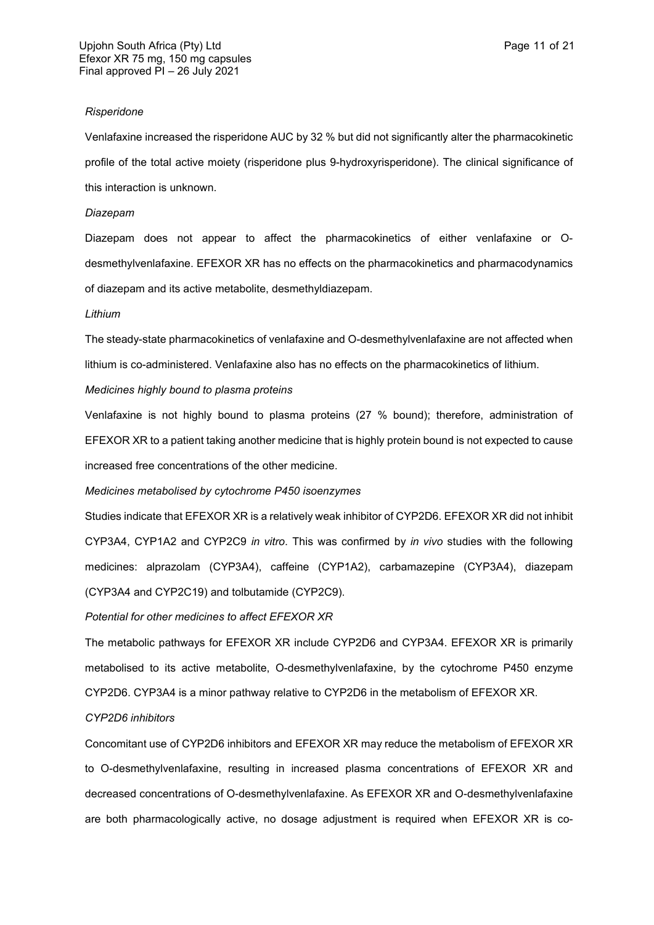#### *Risperidone*

Venlafaxine increased the risperidone AUC by 32 % but did not significantly alter the pharmacokinetic profile of the total active moiety (risperidone plus 9-hydroxyrisperidone). The clinical significance of this interaction is unknown.

## *Diazepam*

Diazepam does not appear to affect the pharmacokinetics of either venlafaxine or Odesmethylvenlafaxine. EFEXOR XR has no effects on the pharmacokinetics and pharmacodynamics of diazepam and its active metabolite, desmethyldiazepam.

#### *Lithium*

The steady-state pharmacokinetics of venlafaxine and O-desmethylvenlafaxine are not affected when lithium is co-administered. Venlafaxine also has no effects on the pharmacokinetics of lithium.

## *Medicines highly bound to plasma proteins*

Venlafaxine is not highly bound to plasma proteins (27 % bound); therefore, administration of EFEXOR XR to a patient taking another medicine that is highly protein bound is not expected to cause increased free concentrations of the other medicine.

*Medicines metabolised by cytochrome P450 isoenzymes*

Studies indicate that EFEXOR XR is a relatively weak inhibitor of CYP2D6. EFEXOR XR did not inhibit CYP3A4, CYP1A2 and CYP2C9 *in vitro*. This was confirmed by *in vivo* studies with the following medicines: alprazolam (CYP3A4), caffeine (CYP1A2), carbamazepine (CYP3A4), diazepam (CYP3A4 and CYP2C19) and tolbutamide (CYP2C9).

#### *Potential for other medicines to affect EFEXOR XR*

The metabolic pathways for EFEXOR XR include CYP2D6 and CYP3A4. EFEXOR XR is primarily metabolised to its active metabolite, O-desmethylvenlafaxine, by the cytochrome P450 enzyme CYP2D6. CYP3A4 is a minor pathway relative to CYP2D6 in the metabolism of EFEXOR XR.

## *CYP2D6 inhibitors*

Concomitant use of CYP2D6 inhibitors and EFEXOR XR may reduce the metabolism of EFEXOR XR to O-desmethylvenlafaxine, resulting in increased plasma concentrations of EFEXOR XR and decreased concentrations of O-desmethylvenlafaxine. As EFEXOR XR and O-desmethylvenlafaxine are both pharmacologically active, no dosage adjustment is required when EFEXOR XR is co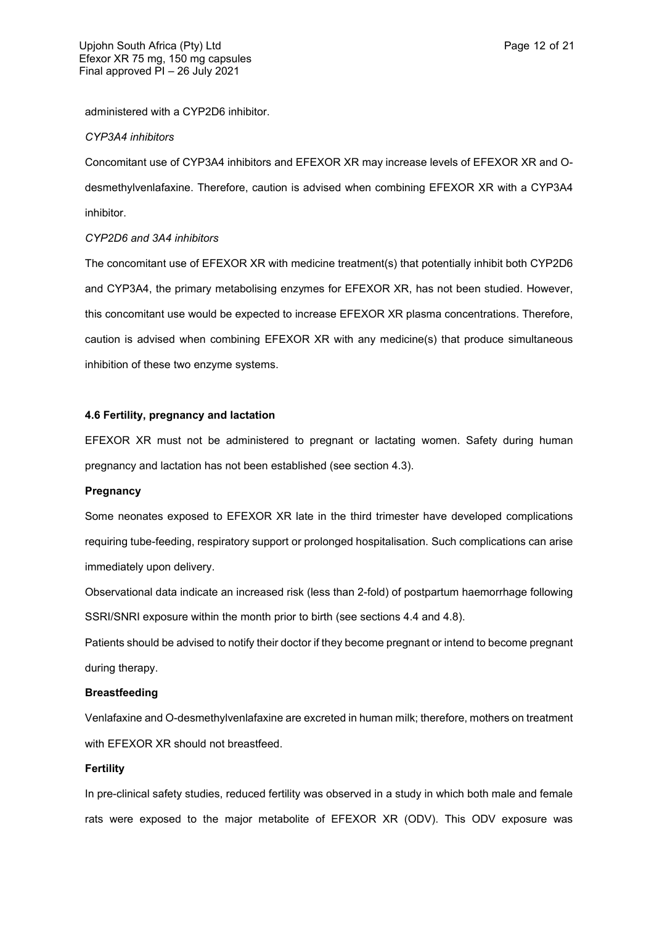administered with a CYP2D6 inhibitor.

#### *CYP3A4 inhibitors*

Concomitant use of CYP3A4 inhibitors and EFEXOR XR may increase levels of EFEXOR XR and Odesmethylvenlafaxine. Therefore, caution is advised when combining EFEXOR XR with a CYP3A4 inhibitor.

## *CYP2D6 and 3A4 inhibitors*

The concomitant use of EFEXOR XR with medicine treatment(s) that potentially inhibit both CYP2D6 and CYP3A4, the primary metabolising enzymes for EFEXOR XR, has not been studied. However, this concomitant use would be expected to increase EFEXOR XR plasma concentrations. Therefore, caution is advised when combining EFEXOR XR with any medicine(s) that produce simultaneous inhibition of these two enzyme systems.

## **4.6 Fertility, pregnancy and lactation**

EFEXOR XR must not be administered to pregnant or lactating women. Safety during human pregnancy and lactation has not been established (see section 4.3).

## **Pregnancy**

Some neonates exposed to EFEXOR XR late in the third trimester have developed complications requiring tube-feeding, respiratory support or prolonged hospitalisation. Such complications can arise immediately upon delivery.

Observational data indicate an increased risk (less than 2-fold) of postpartum haemorrhage following SSRI/SNRI exposure within the month prior to birth (see sections 4.4 and 4.8).

Patients should be advised to notify their doctor if they become pregnant or intend to become pregnant during therapy.

#### **Breastfeeding**

Venlafaxine and O-desmethylvenlafaxine are excreted in human milk; therefore, mothers on treatment with EFEXOR XR should not breastfeed.

## **Fertility**

In pre-clinical safety studies, reduced fertility was observed in a study in which both male and female rats were exposed to the major metabolite of EFEXOR XR (ODV). This ODV exposure was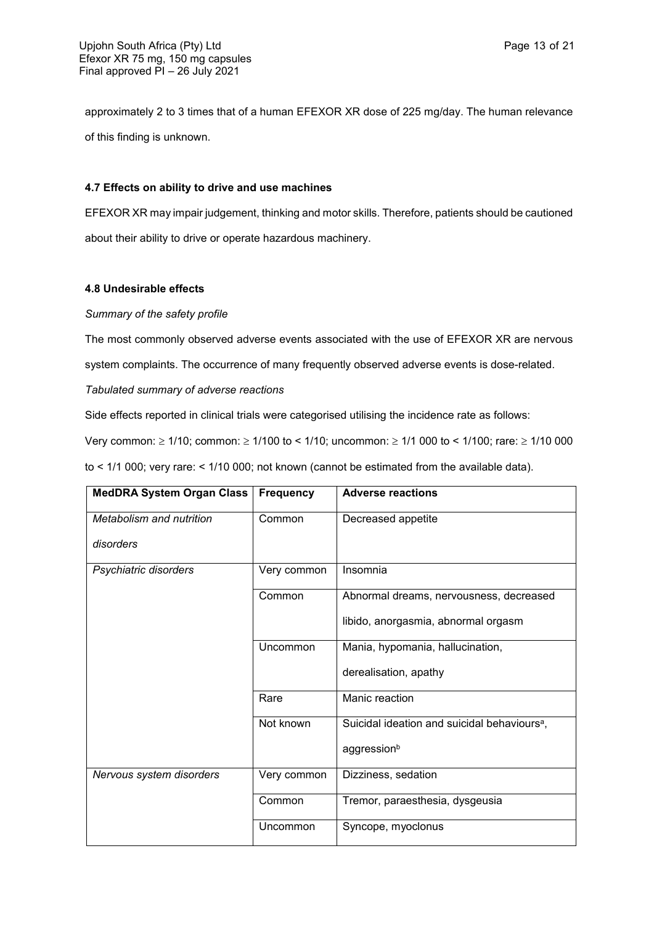approximately 2 to 3 times that of a human EFEXOR XR dose of 225 mg/day. The human relevance of this finding is unknown.

## **4.7 Effects on ability to drive and use machines**

EFEXOR XR may impair judgement, thinking and motor skills. Therefore, patients should be cautioned about their ability to drive or operate hazardous machinery.

## **4.8 Undesirable effects**

## *Summary of the safety profile*

The most commonly observed adverse events associated with the use of EFEXOR XR are nervous

system complaints. The occurrence of many frequently observed adverse events is dose-related.

# *Tabulated summary of adverse reactions*

Side effects reported in clinical trials were categorised utilising the incidence rate as follows:

Very common:  $\geq 1/10$ ; common:  $\geq 1/100$  to < 1/10; uncommon:  $\geq 1/1000$  to < 1/100; rare:  $\geq 1/10000$ 

to < 1/1 000; very rare: < 1/10 000; not known (cannot be estimated from the available data).

| <b>MedDRA System Organ Class</b> | <b>Frequency</b> | <b>Adverse reactions</b>                                 |
|----------------------------------|------------------|----------------------------------------------------------|
| Metabolism and nutrition         | Common           | Decreased appetite                                       |
| disorders                        |                  |                                                          |
| Psychiatric disorders            | Very common      | Insomnia                                                 |
|                                  | Common           | Abnormal dreams, nervousness, decreased                  |
|                                  |                  | libido, anorgasmia, abnormal orgasm                      |
|                                  | Uncommon         | Mania, hypomania, hallucination,                         |
|                                  |                  | derealisation, apathy                                    |
|                                  | Rare             | Manic reaction                                           |
|                                  | Not known        | Suicidal ideation and suicidal behaviours <sup>a</sup> , |
|                                  |                  | aggressionb                                              |
| Nervous system disorders         | Very common      | Dizziness, sedation                                      |
|                                  | Common           | Tremor, paraesthesia, dysgeusia                          |
|                                  | Uncommon         | Syncope, myoclonus                                       |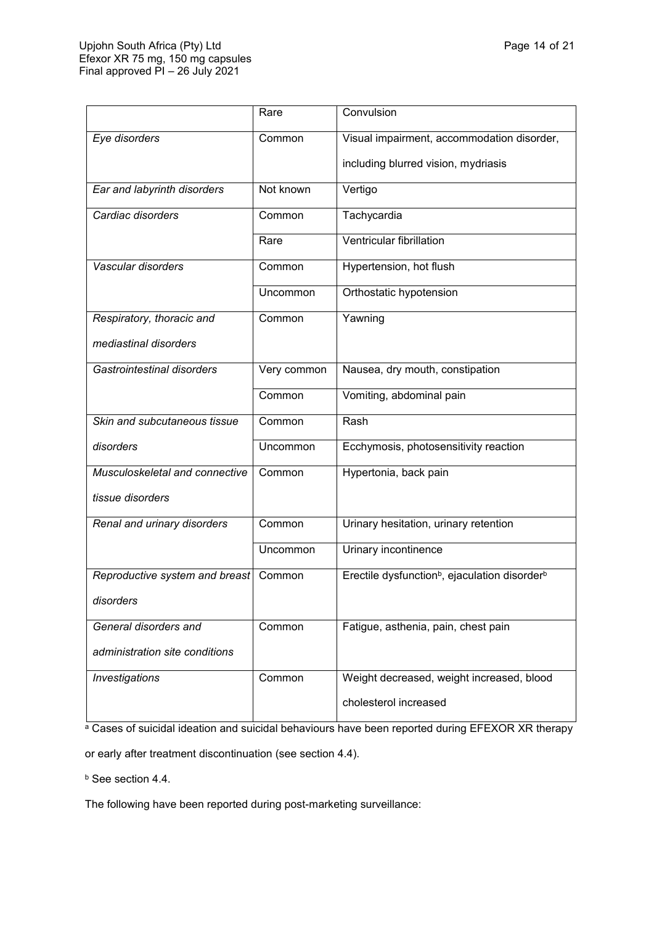|                                | Rare        | Convulsion                                                            |
|--------------------------------|-------------|-----------------------------------------------------------------------|
| Eye disorders                  | Common      | Visual impairment, accommodation disorder,                            |
|                                |             | including blurred vision, mydriasis                                   |
| Ear and labyrinth disorders    | Not known   | Vertigo                                                               |
| Cardiac disorders              | Common      | Tachycardia                                                           |
|                                | Rare        | Ventricular fibrillation                                              |
| Vascular disorders             | Common      | Hypertension, hot flush                                               |
|                                | Uncommon    | Orthostatic hypotension                                               |
| Respiratory, thoracic and      | Common      | Yawning                                                               |
| mediastinal disorders          |             |                                                                       |
| Gastrointestinal disorders     | Very common | Nausea, dry mouth, constipation                                       |
|                                | Common      | Vomiting, abdominal pain                                              |
| Skin and subcutaneous tissue   | Common      | Rash                                                                  |
| disorders                      | Uncommon    | Ecchymosis, photosensitivity reaction                                 |
| Musculoskeletal and connective | Common      | Hypertonia, back pain                                                 |
| tissue disorders               |             |                                                                       |
| Renal and urinary disorders    | Common      | Urinary hesitation, urinary retention                                 |
|                                | Uncommon    | Urinary incontinence                                                  |
| Reproductive system and breast | Common      | Erectile dysfunction <sup>b</sup> , ejaculation disorder <sup>b</sup> |
| disorders                      |             |                                                                       |
| General disorders and          | Common      | Fatigue, asthenia, pain, chest pain                                   |
| administration site conditions |             |                                                                       |
| <b>Investigations</b>          | Common      | Weight decreased, weight increased, blood                             |
|                                |             | cholesterol increased                                                 |

a Cases of suicidal ideation and suicidal behaviours have been reported during EFEXOR XR therapy

or early after treatment discontinuation (see section 4.4).

**b** See section 4.4.

The following have been reported during post-marketing surveillance: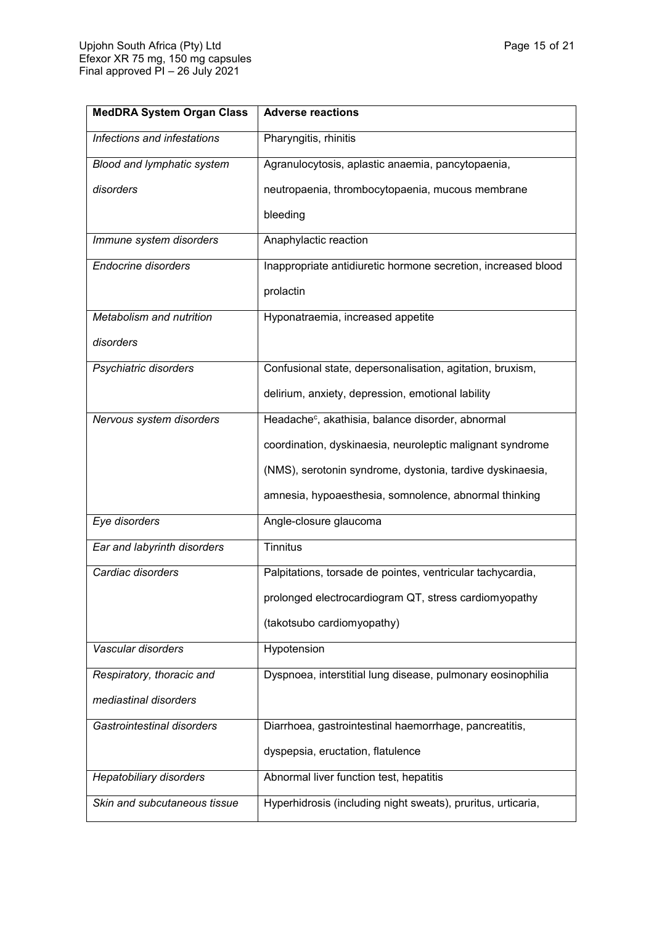| <b>MedDRA System Organ Class</b> | <b>Adverse reactions</b>                                      |
|----------------------------------|---------------------------------------------------------------|
| Infections and infestations      | Pharyngitis, rhinitis                                         |
| Blood and lymphatic system       | Agranulocytosis, aplastic anaemia, pancytopaenia,             |
| disorders                        | neutropaenia, thrombocytopaenia, mucous membrane              |
|                                  | bleeding                                                      |
| Immune system disorders          | Anaphylactic reaction                                         |
| <b>Endocrine disorders</b>       | Inappropriate antidiuretic hormone secretion, increased blood |
|                                  | prolactin                                                     |
| Metabolism and nutrition         | Hyponatraemia, increased appetite                             |
| disorders                        |                                                               |
| Psychiatric disorders            | Confusional state, depersonalisation, agitation, bruxism,     |
|                                  | delirium, anxiety, depression, emotional lability             |
| Nervous system disorders         | Headache <sup>c</sup> , akathisia, balance disorder, abnormal |
|                                  | coordination, dyskinaesia, neuroleptic malignant syndrome     |
|                                  | (NMS), serotonin syndrome, dystonia, tardive dyskinaesia,     |
|                                  | amnesia, hypoaesthesia, somnolence, abnormal thinking         |
| Eye disorders                    | Angle-closure glaucoma                                        |
| Ear and labyrinth disorders      | <b>Tinnitus</b>                                               |
| Cardiac disorders                | Palpitations, torsade de pointes, ventricular tachycardia,    |
|                                  | prolonged electrocardiogram QT, stress cardiomyopathy         |
|                                  | (takotsubo cardiomyopathy)                                    |
| Vascular disorders               | Hypotension                                                   |
| Respiratory, thoracic and        | Dyspnoea, interstitial lung disease, pulmonary eosinophilia   |
| mediastinal disorders            |                                                               |
| Gastrointestinal disorders       | Diarrhoea, gastrointestinal haemorrhage, pancreatitis,        |
|                                  | dyspepsia, eructation, flatulence                             |
| Hepatobiliary disorders          | Abnormal liver function test, hepatitis                       |
| Skin and subcutaneous tissue     | Hyperhidrosis (including night sweats), pruritus, urticaria,  |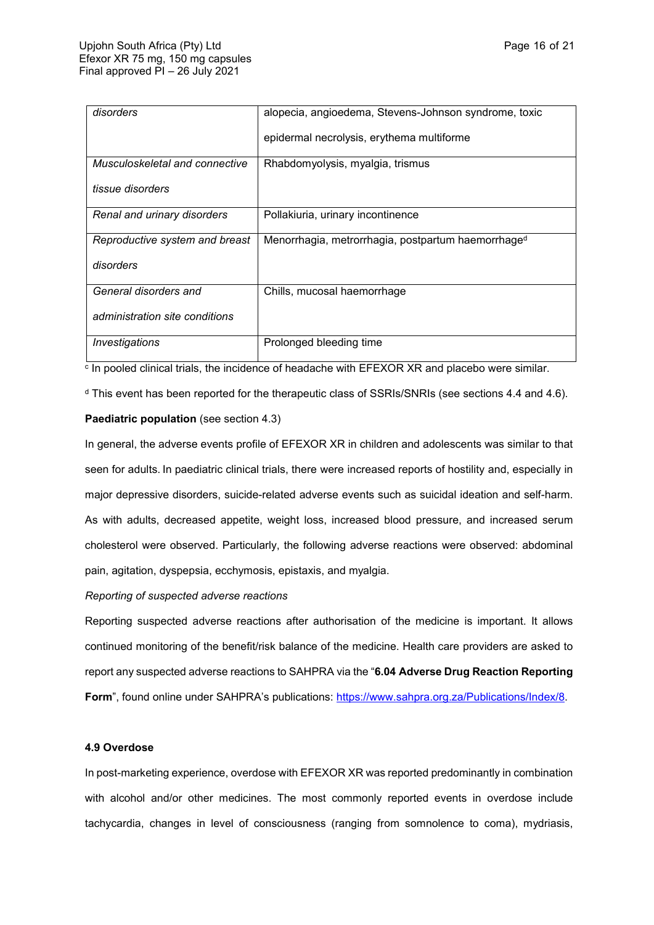| disorders                      | alopecia, angioedema, Stevens-Johnson syndrome, toxic          |
|--------------------------------|----------------------------------------------------------------|
|                                | epidermal necrolysis, erythema multiforme                      |
| Musculoskeletal and connective | Rhabdomyolysis, myalgia, trismus                               |
| tissue disorders               |                                                                |
| Renal and urinary disorders    | Pollakiuria, urinary incontinence                              |
| Reproductive system and breast | Menorrhagia, metrorrhagia, postpartum haemorrhage <sup>d</sup> |
| disorders                      |                                                                |
| General disorders and          | Chills, mucosal haemorrhage                                    |
| administration site conditions |                                                                |
| Investigations                 | Prolonged bleeding time                                        |

 $\,^{\rm c}$  In pooled clinical trials, the incidence of headache with EFEXOR XR and placebo were similar.

<sup>d</sup> This event has been reported for the therapeutic class of SSRIs/SNRIs (see sections 4.4 and 4.6).

## **Paediatric population** (see section 4.3)

In general, the adverse events profile of EFEXOR XR in children and adolescents was similar to that seen for adults. In paediatric clinical trials, there were increased reports of hostility and, especially in major depressive disorders, suicide-related adverse events such as suicidal ideation and self-harm. As with adults, decreased appetite, weight loss, increased blood pressure, and increased serum cholesterol were observed. Particularly, the following adverse reactions were observed: abdominal pain, agitation, dyspepsia, ecchymosis, epistaxis, and myalgia.

*Reporting of suspected adverse reactions*

Reporting suspected adverse reactions after authorisation of the medicine is important. It allows continued monitoring of the benefit/risk balance of the medicine. Health care providers are asked to report any suspected adverse reactions to SAHPRA via the "**6.04 Adverse Drug Reaction Reporting**  Form", found online under SAHPRA's publications:<https://www.sahpra.org.za/Publications/Index/8>.

#### **4.9 Overdose**

In post-marketing experience, overdose with EFEXOR XR was reported predominantly in combination with alcohol and/or other medicines. The most commonly reported events in overdose include tachycardia, changes in level of consciousness (ranging from somnolence to coma), mydriasis,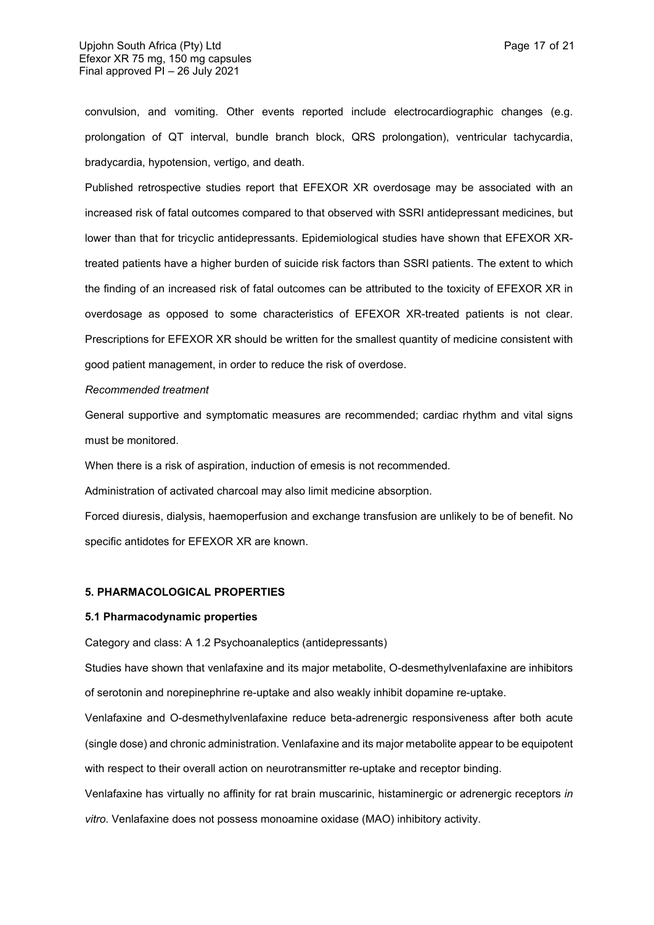convulsion, and vomiting. Other events reported include electrocardiographic changes (e.g. prolongation of QT interval, bundle branch block, QRS prolongation), ventricular tachycardia, bradycardia, hypotension, vertigo, and death.

Published retrospective studies report that EFEXOR XR overdosage may be associated with an increased risk of fatal outcomes compared to that observed with SSRI antidepressant medicines, but lower than that for tricyclic antidepressants. Epidemiological studies have shown that EFEXOR XRtreated patients have a higher burden of suicide risk factors than SSRI patients. The extent to which the finding of an increased risk of fatal outcomes can be attributed to the toxicity of EFEXOR XR in overdosage as opposed to some characteristics of EFEXOR XR-treated patients is not clear. Prescriptions for EFEXOR XR should be written for the smallest quantity of medicine consistent with good patient management, in order to reduce the risk of overdose.

#### *Recommended treatment*

General supportive and symptomatic measures are recommended; cardiac rhythm and vital signs must be monitored.

When there is a risk of aspiration, induction of emesis is not recommended.

Administration of activated charcoal may also limit medicine absorption.

Forced diuresis, dialysis, haemoperfusion and exchange transfusion are unlikely to be of benefit. No specific antidotes for EFEXOR XR are known.

## **5. PHARMACOLOGICAL PROPERTIES**

## **5.1 Pharmacodynamic properties**

Category and class: A 1.2 Psychoanaleptics (antidepressants)

Studies have shown that venlafaxine and its major metabolite, O-desmethylvenlafaxine are inhibitors of serotonin and norepinephrine re-uptake and also weakly inhibit dopamine re-uptake.

Venlafaxine and O-desmethylvenlafaxine reduce beta-adrenergic responsiveness after both acute (single dose) and chronic administration. Venlafaxine and its major metabolite appear to be equipotent with respect to their overall action on neurotransmitter re-uptake and receptor binding.

Venlafaxine has virtually no affinity for rat brain muscarinic, histaminergic or adrenergic receptors *in vitro*. Venlafaxine does not possess monoamine oxidase (MAO) inhibitory activity.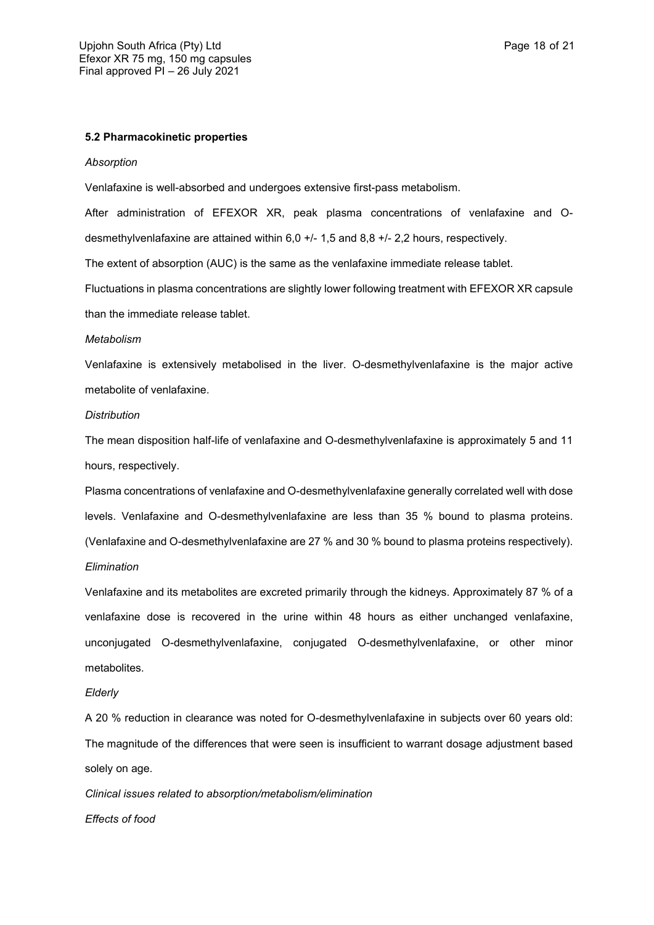## **5.2 Pharmacokinetic properties**

#### *Absorption*

Venlafaxine is well-absorbed and undergoes extensive first-pass metabolism.

After administration of EFEXOR XR, peak plasma concentrations of venlafaxine and Odesmethylvenlafaxine are attained within 6,0 +/- 1,5 and 8,8 +/- 2,2 hours, respectively.

The extent of absorption (AUC) is the same as the venlafaxine immediate release tablet.

Fluctuations in plasma concentrations are slightly lower following treatment with EFEXOR XR capsule than the immediate release tablet.

#### *Metabolism*

Venlafaxine is extensively metabolised in the liver. O-desmethylvenlafaxine is the major active metabolite of venlafaxine.

#### *Distribution*

The mean disposition half-life of venlafaxine and O-desmethylvenlafaxine is approximately 5 and 11 hours, respectively.

Plasma concentrations of venlafaxine and O-desmethylvenlafaxine generally correlated well with dose levels. Venlafaxine and O-desmethylvenlafaxine are less than 35 % bound to plasma proteins. (Venlafaxine and O-desmethylvenlafaxine are 27 % and 30 % bound to plasma proteins respectively). *Elimination*

Venlafaxine and its metabolites are excreted primarily through the kidneys. Approximately 87 % of a venlafaxine dose is recovered in the urine within 48 hours as either unchanged venlafaxine, unconjugated O-desmethylvenlafaxine, conjugated O-desmethylvenlafaxine, or other minor metabolites.

#### *Elderly*

A 20 % reduction in clearance was noted for O-desmethylvenlafaxine in subjects over 60 years old: The magnitude of the differences that were seen is insufficient to warrant dosage adjustment based solely on age.

*Clinical issues related to absorption/metabolism/elimination Effects of food*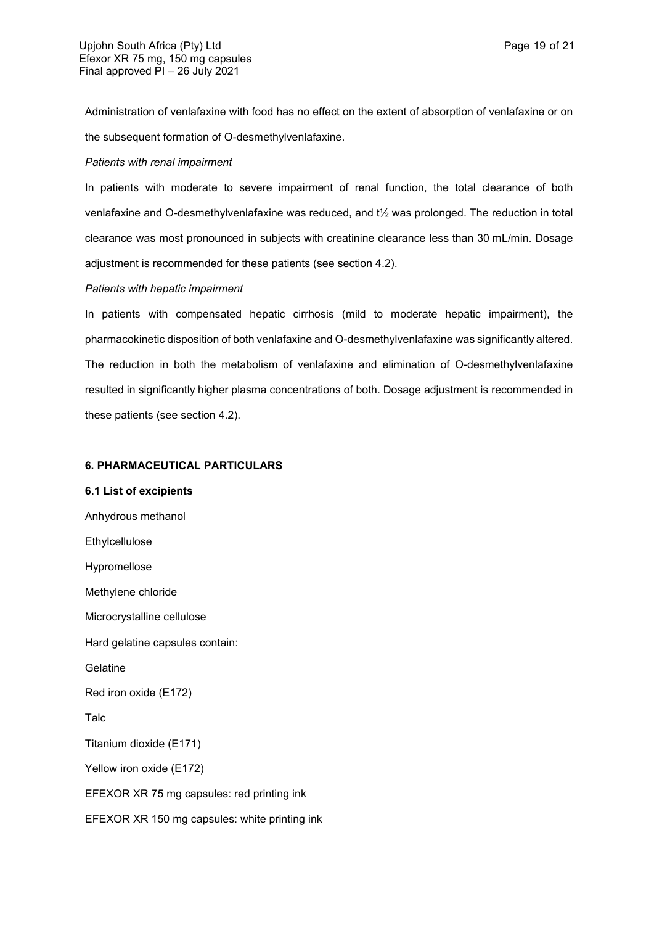Administration of venlafaxine with food has no effect on the extent of absorption of venlafaxine or on the subsequent formation of O-desmethylvenlafaxine.

## *Patients with renal impairment*

In patients with moderate to severe impairment of renal function, the total clearance of both venlafaxine and O-desmethylvenlafaxine was reduced, and t½ was prolonged. The reduction in total clearance was most pronounced in subjects with creatinine clearance less than 30 mL/min. Dosage adjustment is recommended for these patients (see section 4.2).

## *Patients with hepatic impairment*

In patients with compensated hepatic cirrhosis (mild to moderate hepatic impairment), the pharmacokinetic disposition of both venlafaxine and O-desmethylvenlafaxine was significantly altered. The reduction in both the metabolism of venlafaxine and elimination of O-desmethylvenlafaxine resulted in significantly higher plasma concentrations of both. Dosage adjustment is recommended in these patients (see section 4.2).

## **6. PHARMACEUTICAL PARTICULARS**

# **6.1 List of excipients** Anhydrous methanol Ethylcellulose Hypromellose Methylene chloride Microcrystalline cellulose Hard gelatine capsules contain: Gelatine Red iron oxide (E172) Talc Titanium dioxide (E171) Yellow iron oxide (E172) EFEXOR XR 75 mg capsules: red printing ink EFEXOR XR 150 mg capsules: white printing ink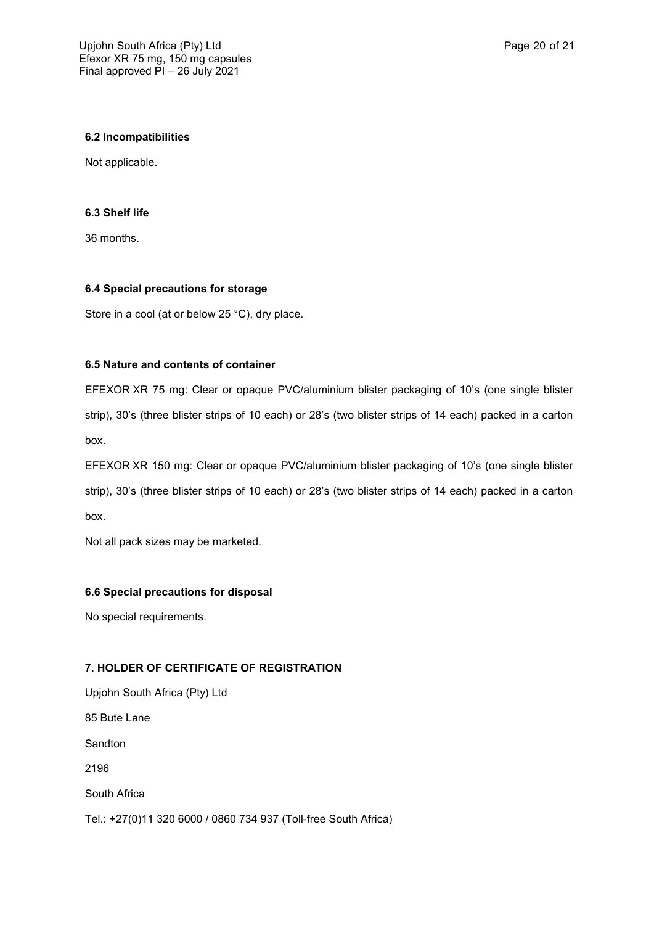## **6.2 Incompatibilities**

Not applicable.

## **6.3 Shelf life**

36 months.

## **6.4 Special precautions for storage**

Store in a cool (at or below 25 °C), dry place.

## **6.5 Nature and contents of container**

EFEXOR XR 75 mg: Clear or opaque PVC/aluminium blister packaging of 10's (one single blister strip), 30's (three blister strips of 10 each) or 28's (two blister strips of 14 each) packed in a carton box.

EFEXOR XR 150 mg: Clear or opaque PVC/aluminium blister packaging of 10's (one single blister strip), 30's (three blister strips of 10 each) or 28's (two blister strips of 14 each) packed in a carton box.

Not all pack sizes may be marketed.

## **6.6 Special precautions for disposal**

No special requirements.

## **7. HOLDER OF CERTIFICATE OF REGISTRATION**

Upjohn South Africa (Pty) Ltd 85 Bute Lane Sandton 2196 South Africa Tel.: +27(0)11 320 6000 / 0860 734 937 (Toll-free South Africa)